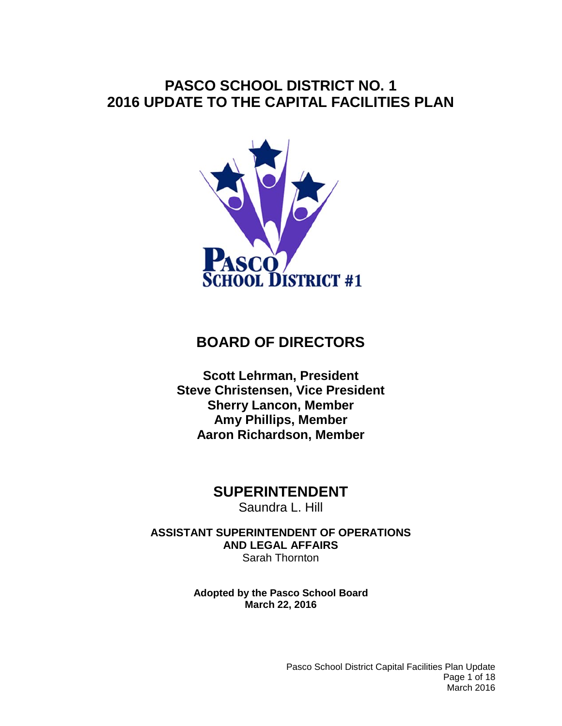# **PASCO SCHOOL DISTRICT NO. 1 2016 UPDATE TO THE CAPITAL FACILITIES PLAN**



# **BOARD OF DIRECTORS**

**Scott Lehrman, President Steve Christensen, Vice President Sherry Lancon, Member Amy Phillips, Member Aaron Richardson, Member**

# **SUPERINTENDENT**

Saundra L. Hill

**ASSISTANT SUPERINTENDENT OF OPERATIONS AND LEGAL AFFAIRS** Sarah Thornton

> **Adopted by the Pasco School Board March 22, 2016**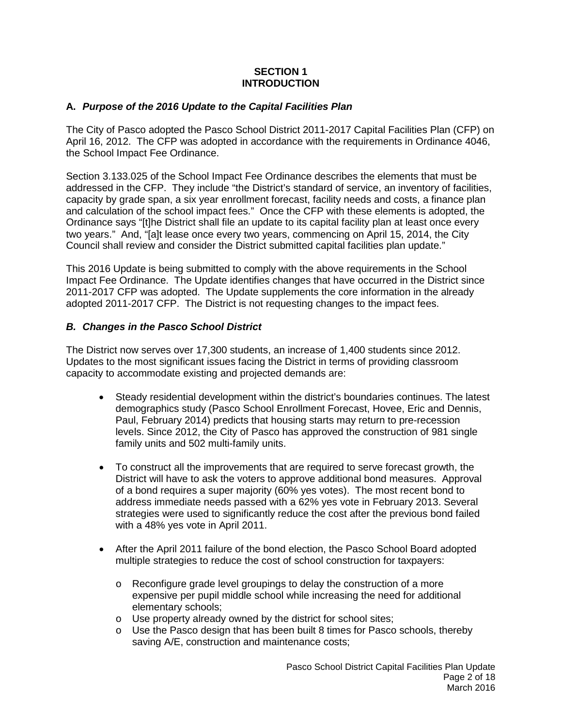## **SECTION 1 INTRODUCTION**

## **A.** *Purpose of the 2016 Update to the Capital Facilities Plan*

The City of Pasco adopted the Pasco School District 2011-2017 Capital Facilities Plan (CFP) on April 16, 2012. The CFP was adopted in accordance with the requirements in Ordinance 4046, the School Impact Fee Ordinance.

Section 3.133.025 of the School Impact Fee Ordinance describes the elements that must be addressed in the CFP. They include "the District's standard of service, an inventory of facilities, capacity by grade span, a six year enrollment forecast, facility needs and costs, a finance plan and calculation of the school impact fees." Once the CFP with these elements is adopted, the Ordinance says "[t]he District shall file an update to its capital facility plan at least once every two years." And, "[a]t lease once every two years, commencing on April 15, 2014, the City Council shall review and consider the District submitted capital facilities plan update."

This 2016 Update is being submitted to comply with the above requirements in the School Impact Fee Ordinance. The Update identifies changes that have occurred in the District since 2011-2017 CFP was adopted. The Update supplements the core information in the already adopted 2011-2017 CFP. The District is not requesting changes to the impact fees.

#### *B. Changes in the Pasco School District*

The District now serves over 17,300 students, an increase of 1,400 students since 2012. Updates to the most significant issues facing the District in terms of providing classroom capacity to accommodate existing and projected demands are:

- Steady residential development within the district's boundaries continues. The latest demographics study (Pasco School Enrollment Forecast, Hovee, Eric and Dennis, Paul, February 2014) predicts that housing starts may return to pre-recession levels. Since 2012, the City of Pasco has approved the construction of 981 single family units and 502 multi-family units.
- To construct all the improvements that are required to serve forecast growth, the District will have to ask the voters to approve additional bond measures. Approval of a bond requires a super majority (60% yes votes). The most recent bond to address immediate needs passed with a 62% yes vote in February 2013. Several strategies were used to significantly reduce the cost after the previous bond failed with a 48% yes vote in April 2011.
- After the April 2011 failure of the bond election, the Pasco School Board adopted multiple strategies to reduce the cost of school construction for taxpayers:
	- o Reconfigure grade level groupings to delay the construction of a more expensive per pupil middle school while increasing the need for additional elementary schools;
	- o Use property already owned by the district for school sites;
	- o Use the Pasco design that has been built 8 times for Pasco schools, thereby saving A/E, construction and maintenance costs;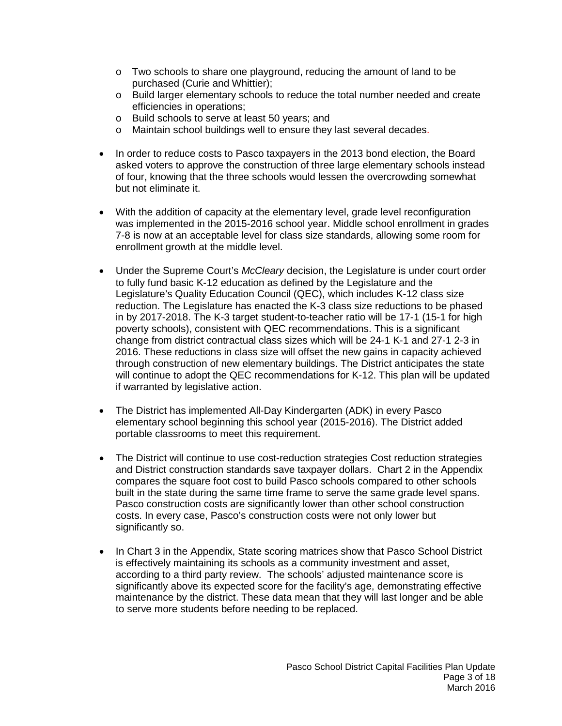- o Two schools to share one playground, reducing the amount of land to be purchased (Curie and Whittier);
- o Build larger elementary schools to reduce the total number needed and create efficiencies in operations;
- o Build schools to serve at least 50 years; and<br>o Maintain school buildings well to ensure thev
- Maintain school buildings well to ensure they last several decades.
- In order to reduce costs to Pasco taxpayers in the 2013 bond election, the Board asked voters to approve the construction of three large elementary schools instead of four, knowing that the three schools would lessen the overcrowding somewhat but not eliminate it.
- With the addition of capacity at the elementary level, grade level reconfiguration was implemented in the 2015-2016 school year. Middle school enrollment in grades 7-8 is now at an acceptable level for class size standards, allowing some room for enrollment growth at the middle level.
- Under the Supreme Court's *McCleary* decision, the Legislature is under court order to fully fund basic K-12 education as defined by the Legislature and the Legislature's Quality Education Council (QEC), which includes K-12 class size reduction. The Legislature has enacted the K-3 class size reductions to be phased in by 2017-2018. The K-3 target student-to-teacher ratio will be 17-1 (15-1 for high poverty schools), consistent with QEC recommendations. This is a significant change from district contractual class sizes which will be 24-1 K-1 and 27-1 2-3 in 2016. These reductions in class size will offset the new gains in capacity achieved through construction of new elementary buildings. The District anticipates the state will continue to adopt the QEC recommendations for K-12. This plan will be updated if warranted by legislative action.
- The District has implemented All-Day Kindergarten (ADK) in every Pasco elementary school beginning this school year (2015-2016). The District added portable classrooms to meet this requirement.
- The District will continue to use cost-reduction strategies Cost reduction strategies and District construction standards save taxpayer dollars. Chart 2 in the Appendix compares the square foot cost to build Pasco schools compared to other schools built in the state during the same time frame to serve the same grade level spans. Pasco construction costs are significantly lower than other school construction costs. In every case, Pasco's construction costs were not only lower but significantly so.
- In Chart 3 in the Appendix, State scoring matrices show that Pasco School District is effectively maintaining its schools as a community investment and asset, according to a third party review. The schools' adjusted maintenance score is significantly above its expected score for the facility's age, demonstrating effective maintenance by the district. These data mean that they will last longer and be able to serve more students before needing to be replaced.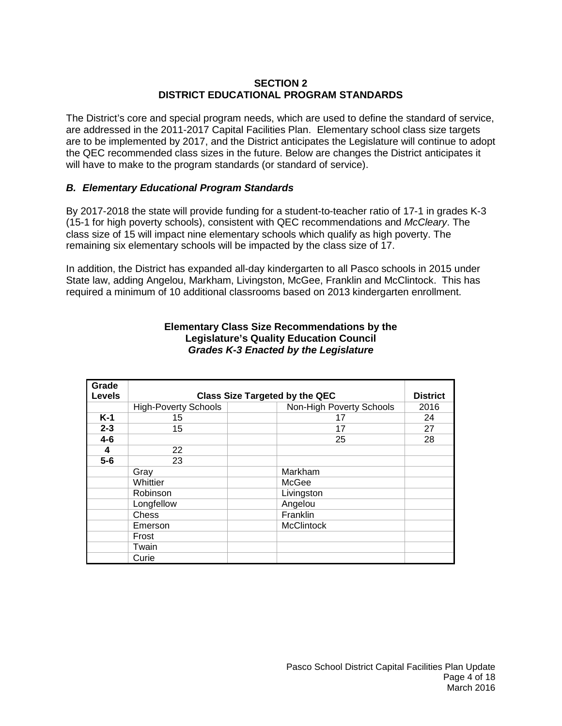#### **SECTION 2 DISTRICT EDUCATIONAL PROGRAM STANDARDS**

The District's core and special program needs, which are used to define the standard of service, are addressed in the 2011-2017 Capital Facilities Plan. Elementary school class size targets are to be implemented by 2017, and the District anticipates the Legislature will continue to adopt the QEC recommended class sizes in the future. Below are changes the District anticipates it will have to make to the program standards (or standard of service).

# *B. Elementary Educational Program Standards*

By 2017-2018 the state will provide funding for a student-to-teacher ratio of 17-1 in grades K-3 (15-1 for high poverty schools), consistent with QEC recommendations and *McCleary*. The class size of 15 will impact nine elementary schools which qualify as high poverty. The remaining six elementary schools will be impacted by the class size of 17.

In addition, the District has expanded all-day kindergarten to all Pasco schools in 2015 under State law, adding Angelou, Markham, Livingston, McGee, Franklin and McClintock. This has required a minimum of 10 additional classrooms based on 2013 kindergarten enrollment.

| Grade<br><b>Levels</b> | <b>Class Size Targeted by the QEC</b> |                          |      |  |  |  |
|------------------------|---------------------------------------|--------------------------|------|--|--|--|
|                        | <b>High-Poverty Schools</b>           | Non-High Poverty Schools | 2016 |  |  |  |
| $K-1$                  | 15                                    | 17                       | 24   |  |  |  |
| $2 - 3$                | 15                                    | 17                       | 27   |  |  |  |
| $4 - 6$                |                                       | 25                       | 28   |  |  |  |
| 4                      | 22                                    |                          |      |  |  |  |
| $5-6$                  | 23                                    |                          |      |  |  |  |
|                        | Gray                                  | Markham                  |      |  |  |  |
|                        | Whittier                              | McGee                    |      |  |  |  |
|                        | Robinson                              | Livingston               |      |  |  |  |
|                        | Longfellow                            | Angelou                  |      |  |  |  |
|                        | <b>Chess</b>                          | Franklin                 |      |  |  |  |
|                        | Emerson                               | <b>McClintock</b>        |      |  |  |  |
|                        | Frost                                 |                          |      |  |  |  |
|                        | Twain                                 |                          |      |  |  |  |
|                        | Curie                                 |                          |      |  |  |  |

#### **Elementary Class Size Recommendations by the Legislature's Quality Education Council** *Grades K-3 Enacted by the Legislature*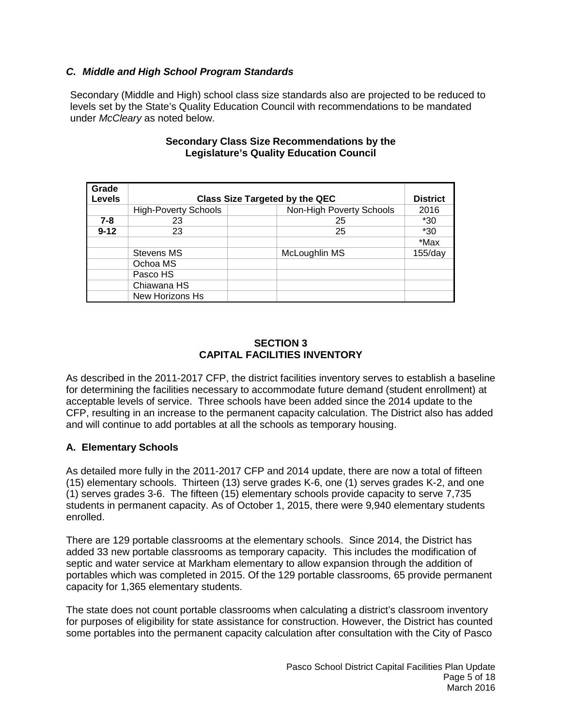# *C. Middle and High School Program Standards*

Secondary (Middle and High) school class size standards also are projected to be reduced to levels set by the State's Quality Education Council with recommendations to be mandated under *McCleary* as noted below.

| Grade<br><b>Levels</b> | <b>Class Size Targeted by the QEC</b> |                          |            |  |  |  |
|------------------------|---------------------------------------|--------------------------|------------|--|--|--|
|                        | <b>High-Poverty Schools</b>           | Non-High Poverty Schools | 2016       |  |  |  |
| $7 - 8$                | 23                                    | 25                       | $*30$      |  |  |  |
| $9 - 12$               | 23                                    | 25                       | $*30$      |  |  |  |
|                        |                                       |                          | *Max       |  |  |  |
|                        | Stevens MS                            | McLoughlin MS            | $155$ /day |  |  |  |
|                        | Ochoa MS                              |                          |            |  |  |  |
|                        | Pasco HS                              |                          |            |  |  |  |
|                        | Chiawana HS                           |                          |            |  |  |  |
|                        | New Horizons Hs                       |                          |            |  |  |  |

#### **Secondary Class Size Recommendations by the Legislature's Quality Education Council**

#### **SECTION 3 CAPITAL FACILITIES INVENTORY**

As described in the 2011-2017 CFP, the district facilities inventory serves to establish a baseline for determining the facilities necessary to accommodate future demand (student enrollment) at acceptable levels of service. Three schools have been added since the 2014 update to the CFP, resulting in an increase to the permanent capacity calculation. The District also has added and will continue to add portables at all the schools as temporary housing.

# **A. Elementary Schools**

As detailed more fully in the 2011-2017 CFP and 2014 update, there are now a total of fifteen (15) elementary schools. Thirteen (13) serve grades K-6, one (1) serves grades K-2, and one (1) serves grades 3-6. The fifteen (15) elementary schools provide capacity to serve 7,735 students in permanent capacity. As of October 1, 2015, there were 9,940 elementary students enrolled.

There are 129 portable classrooms at the elementary schools. Since 2014, the District has added 33 new portable classrooms as temporary capacity. This includes the modification of septic and water service at Markham elementary to allow expansion through the addition of portables which was completed in 2015. Of the 129 portable classrooms, 65 provide permanent capacity for 1,365 elementary students.

The state does not count portable classrooms when calculating a district's classroom inventory for purposes of eligibility for state assistance for construction. However, the District has counted some portables into the permanent capacity calculation after consultation with the City of Pasco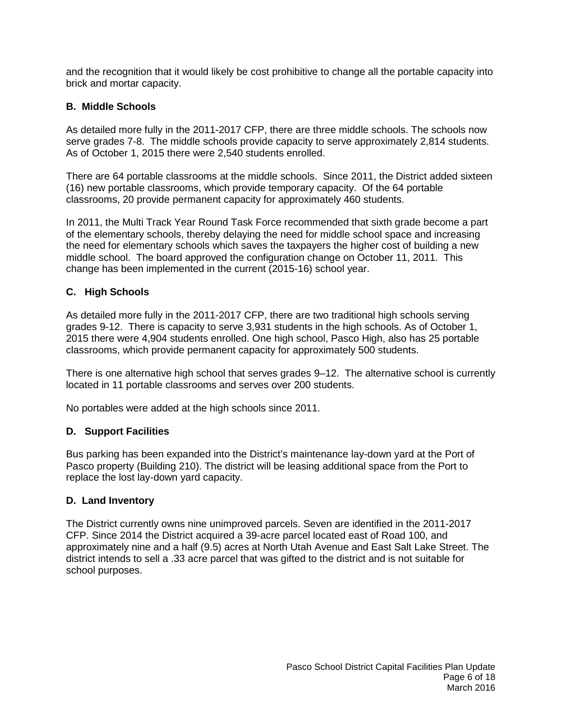and the recognition that it would likely be cost prohibitive to change all the portable capacity into brick and mortar capacity.

# **B. Middle Schools**

As detailed more fully in the 2011-2017 CFP, there are three middle schools. The schools now serve grades 7-8. The middle schools provide capacity to serve approximately 2,814 students. As of October 1, 2015 there were 2,540 students enrolled.

There are 64 portable classrooms at the middle schools. Since 2011, the District added sixteen (16) new portable classrooms, which provide temporary capacity. Of the 64 portable classrooms, 20 provide permanent capacity for approximately 460 students.

In 2011, the Multi Track Year Round Task Force recommended that sixth grade become a part of the elementary schools, thereby delaying the need for middle school space and increasing the need for elementary schools which saves the taxpayers the higher cost of building a new middle school. The board approved the configuration change on October 11, 2011. This change has been implemented in the current (2015-16) school year.

# **C. High Schools**

As detailed more fully in the 2011-2017 CFP, there are two traditional high schools serving grades 9-12. There is capacity to serve 3,931 students in the high schools. As of October 1, 2015 there were 4,904 students enrolled. One high school, Pasco High, also has 25 portable classrooms, which provide permanent capacity for approximately 500 students.

There is one alternative high school that serves grades 9–12. The alternative school is currently located in 11 portable classrooms and serves over 200 students.

No portables were added at the high schools since 2011.

# **D.****Support Facilities**

Bus parking has been expanded into the District's maintenance lay-down yard at the Port of Pasco property (Building 210). The district will be leasing additional space from the Port to replace the lost lay-down yard capacity.

# **D. Land Inventory**

The District currently owns nine unimproved parcels. Seven are identified in the 2011-2017 CFP. Since 2014 the District acquired a 39-acre parcel located east of Road 100, and approximately nine and a half (9.5) acres at North Utah Avenue and East Salt Lake Street. The district intends to sell a .33 acre parcel that was gifted to the district and is not suitable for school purposes.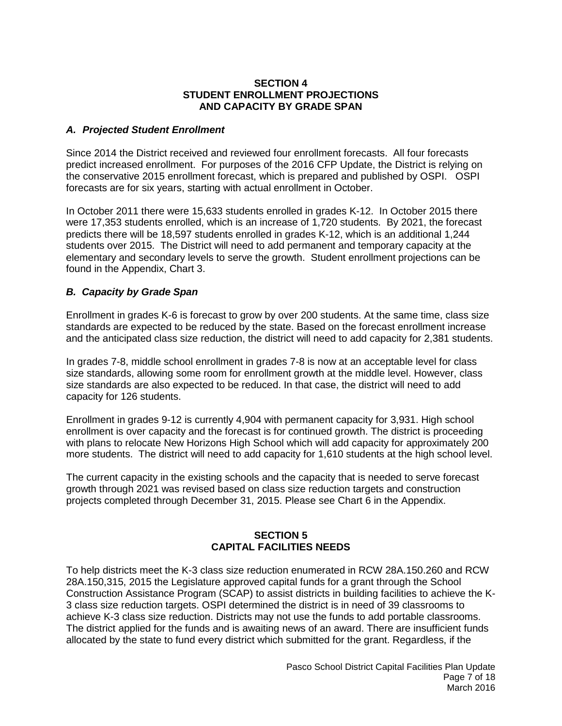#### **SECTION 4 STUDENT ENROLLMENT PROJECTIONS AND CAPACITY BY GRADE SPAN**

#### *A. Projected Student Enrollment*

Since 2014 the District received and reviewed four enrollment forecasts. All four forecasts predict increased enrollment. For purposes of the 2016 CFP Update, the District is relying on the conservative 2015 enrollment forecast, which is prepared and published by OSPI. OSPI forecasts are for six years, starting with actual enrollment in October.

In October 2011 there were 15,633 students enrolled in grades K-12. In October 2015 there were 17,353 students enrolled, which is an increase of 1,720 students. By 2021, the forecast predicts there will be 18,597 students enrolled in grades K-12, which is an additional 1,244 students over 2015. The District will need to add permanent and temporary capacity at the elementary and secondary levels to serve the growth. Student enrollment projections can be found in the Appendix, Chart 3.

#### *B. Capacity by Grade Span*

Enrollment in grades K-6 is forecast to grow by over 200 students. At the same time, class size standards are expected to be reduced by the state. Based on the forecast enrollment increase and the anticipated class size reduction, the district will need to add capacity for 2,381 students.

In grades 7-8, middle school enrollment in grades 7-8 is now at an acceptable level for class size standards, allowing some room for enrollment growth at the middle level. However, class size standards are also expected to be reduced. In that case, the district will need to add capacity for 126 students.

Enrollment in grades 9-12 is currently 4,904 with permanent capacity for 3,931. High school enrollment is over capacity and the forecast is for continued growth. The district is proceeding with plans to relocate New Horizons High School which will add capacity for approximately 200 more students. The district will need to add capacity for 1,610 students at the high school level.

The current capacity in the existing schools and the capacity that is needed to serve forecast growth through 2021 was revised based on class size reduction targets and construction projects completed through December 31, 2015. Please see Chart 6 in the Appendix.

# **SECTION 5 CAPITAL FACILITIES NEEDS**

To help districts meet the K-3 class size reduction enumerated in RCW 28A.150.260 and RCW 28A.150,315, 2015 the Legislature approved capital funds for a grant through the School Construction Assistance Program (SCAP) to assist districts in building facilities to achieve the K-3 class size reduction targets. OSPI determined the district is in need of 39 classrooms to achieve K-3 class size reduction. Districts may not use the funds to add portable classrooms. The district applied for the funds and is awaiting news of an award. There are insufficient funds allocated by the state to fund every district which submitted for the grant. Regardless, if the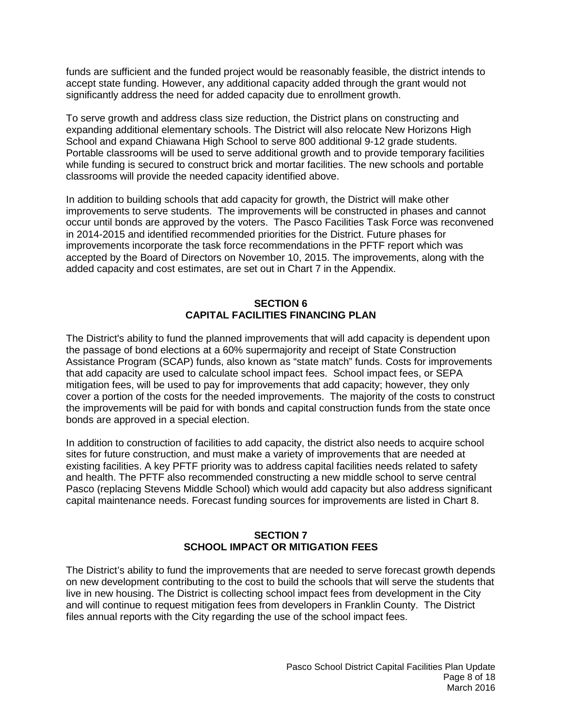funds are sufficient and the funded project would be reasonably feasible, the district intends to accept state funding. However, any additional capacity added through the grant would not significantly address the need for added capacity due to enrollment growth.

To serve growth and address class size reduction, the District plans on constructing and expanding additional elementary schools. The District will also relocate New Horizons High School and expand Chiawana High School to serve 800 additional 9-12 grade students. Portable classrooms will be used to serve additional growth and to provide temporary facilities while funding is secured to construct brick and mortar facilities. The new schools and portable classrooms will provide the needed capacity identified above.

In addition to building schools that add capacity for growth, the District will make other improvements to serve students. The improvements will be constructed in phases and cannot occur until bonds are approved by the voters. The Pasco Facilities Task Force was reconvened in 2014-2015 and identified recommended priorities for the District. Future phases for improvements incorporate the task force recommendations in the PFTF report which was accepted by the Board of Directors on November 10, 2015. The improvements, along with the added capacity and cost estimates, are set out in Chart 7 in the Appendix.

# **SECTION 6 CAPITAL FACILITIES FINANCING PLAN**

The District's ability to fund the planned improvements that will add capacity is dependent upon the passage of bond elections at a 60% supermajority and receipt of State Construction Assistance Program (SCAP) funds, also known as "state match" funds. Costs for improvements that add capacity are used to calculate school impact fees. School impact fees, or SEPA mitigation fees, will be used to pay for improvements that add capacity; however, they only cover a portion of the costs for the needed improvements. The majority of the costs to construct the improvements will be paid for with bonds and capital construction funds from the state once bonds are approved in a special election.

In addition to construction of facilities to add capacity, the district also needs to acquire school sites for future construction, and must make a variety of improvements that are needed at existing facilities. A key PFTF priority was to address capital facilities needs related to safety and health. The PFTF also recommended constructing a new middle school to serve central Pasco (replacing Stevens Middle School) which would add capacity but also address significant capital maintenance needs. Forecast funding sources for improvements are listed in Chart 8.

#### **SECTION 7 SCHOOL IMPACT OR MITIGATION FEES**

The District's ability to fund the improvements that are needed to serve forecast growth depends on new development contributing to the cost to build the schools that will serve the students that live in new housing. The District is collecting school impact fees from development in the City and will continue to request mitigation fees from developers in Franklin County. The District files annual reports with the City regarding the use of the school impact fees.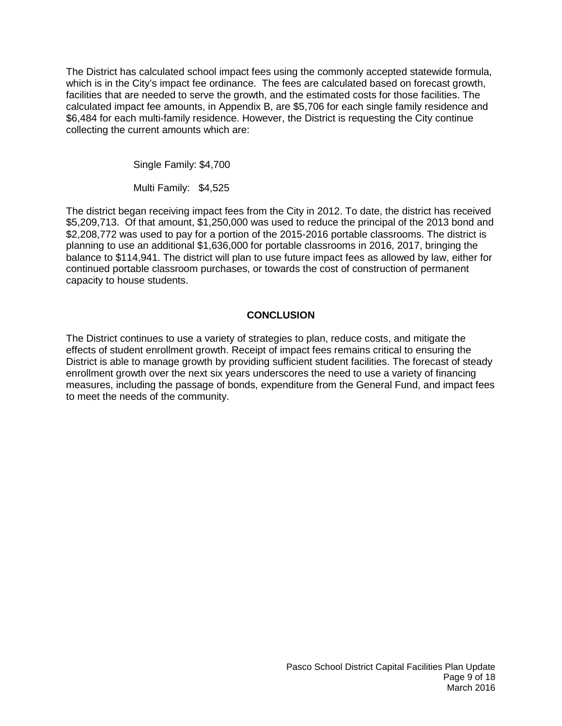The District has calculated school impact fees using the commonly accepted statewide formula, which is in the City's impact fee ordinance. The fees are calculated based on forecast growth, facilities that are needed to serve the growth, and the estimated costs for those facilities. The calculated impact fee amounts, in Appendix B, are \$5,706 for each single family residence and \$6,484 for each multi-family residence. However, the District is requesting the City continue collecting the current amounts which are:

Single Family: \$4,700

Multi Family: \$4,525

The district began receiving impact fees from the City in 2012. To date, the district has received \$5,209,713. Of that amount, \$1,250,000 was used to reduce the principal of the 2013 bond and \$2,208,772 was used to pay for a portion of the 2015-2016 portable classrooms. The district is planning to use an additional \$1,636,000 for portable classrooms in 2016, 2017, bringing the balance to \$114,941. The district will plan to use future impact fees as allowed by law, either for continued portable classroom purchases, or towards the cost of construction of permanent capacity to house students.

# **CONCLUSION**

The District continues to use a variety of strategies to plan, reduce costs, and mitigate the effects of student enrollment growth. Receipt of impact fees remains critical to ensuring the District is able to manage growth by providing sufficient student facilities. The forecast of steady enrollment growth over the next six years underscores the need to use a variety of financing measures, including the passage of bonds, expenditure from the General Fund, and impact fees to meet the needs of the community.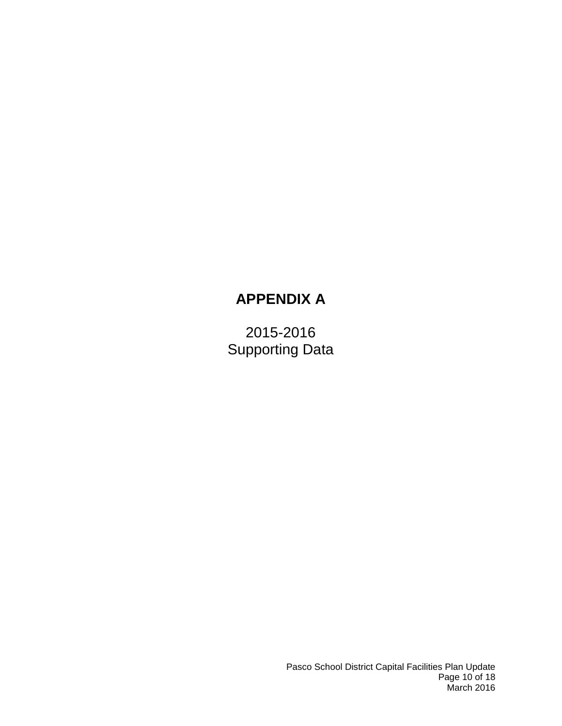# **APPENDIX A**

2015-2016 Supporting Data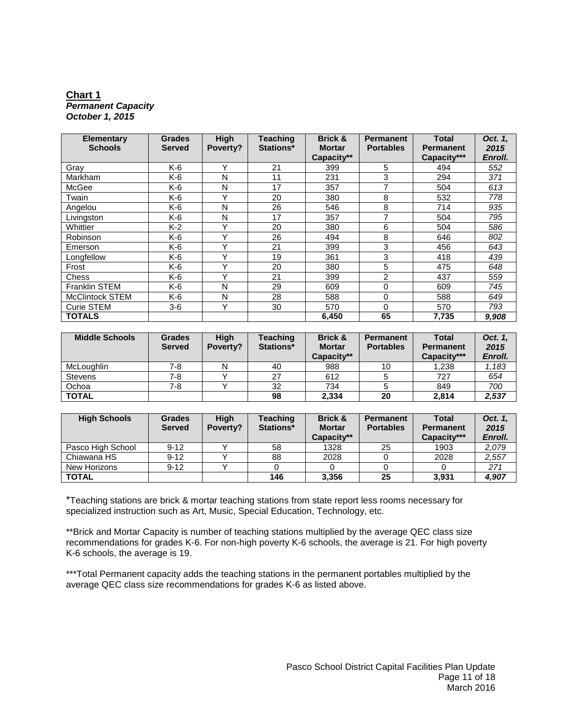#### **Chart 1** *Permanent Capacity October 1, 2015*

| <b>Elementary</b><br><b>Schools</b> | <b>Grades</b><br><b>Served</b> | High<br>Poverty? | <b>Teaching</b><br>Stations* | <b>Brick &amp;</b><br><b>Mortar</b> | <b>Permanent</b><br><b>Portables</b> | <b>Total</b><br><b>Permanent</b> | Oct. 1.<br>2015 |
|-------------------------------------|--------------------------------|------------------|------------------------------|-------------------------------------|--------------------------------------|----------------------------------|-----------------|
|                                     |                                |                  |                              | Capacity**                          |                                      | Capacity***                      | Enroll.         |
| Gray                                | K-6                            | v                | 21                           | 399                                 | 5                                    | 494                              | 552             |
| Markham                             | K-6                            | N                | 11                           | 231                                 | 3                                    | 294                              | 371             |
| McGee                               | K-6                            | N                | 17                           | 357                                 | 7                                    | 504                              | 613             |
| Twain                               | K-6                            | v                | 20                           | 380                                 | 8                                    | 532                              | 778             |
| Angelou                             | K-6                            | N                | 26                           | 546                                 | 8                                    | 714                              | 935             |
| Livingston                          | K-6                            | N                | 17                           | 357                                 |                                      | 504                              | 795             |
| Whittier                            | K-2                            | v                | 20                           | 380                                 | 6                                    | 504                              | 586             |
| Robinson                            | K-6                            | v                | 26                           | 494                                 | 8                                    | 646                              | 802             |
| Emerson                             | K-6                            | $\checkmark$     | 21                           | 399                                 | 3                                    | 456                              | 643             |
| Longfellow                          | K-6                            | v                | 19                           | 361                                 | 3                                    | 418                              | 439             |
| Frost                               | K-6                            |                  | 20                           | 380                                 | 5                                    | 475                              | 648             |
| Chess                               | K-6                            | v                | 21                           | 399                                 | $\overline{2}$                       | 437                              | 559             |
| <b>Franklin STEM</b>                | K-6                            | N                | 29                           | 609                                 | 0                                    | 609                              | 745             |
| <b>McClintock STEM</b>              | K-6                            | N                | 28                           | 588                                 | $\Omega$                             | 588                              | 649             |
| Curie STEM                          | $3-6$                          | v                | 30                           | 570                                 | 0                                    | 570                              | 793             |
| <b>TOTALS</b>                       |                                |                  |                              | 6,450                               | 65                                   | 7,735                            | 9,908           |

| <b>Middle Schools</b> | <b>Grades</b><br><b>Served</b> | <b>High</b><br>Poverty? | Teaching<br>Stations* | <b>Brick &amp;</b><br><b>Mortar</b><br>Capacity** | <b>Permanent</b><br><b>Portables</b> | <b>Total</b><br><b>Permanent</b><br>Capacity*** | Oct. 1,<br>2015<br>Enroll. |
|-----------------------|--------------------------------|-------------------------|-----------------------|---------------------------------------------------|--------------------------------------|-------------------------------------------------|----------------------------|
| <b>McLoughlin</b>     | 7-8                            | N                       | 40                    | 988                                               | 10                                   | 1.238                                           | 1,183                      |
| <b>Stevens</b>        | 7-8                            |                         | 27                    | 612                                               |                                      | 727                                             | 654                        |
| Ochoa                 | 7-8                            |                         | 32                    | 734                                               |                                      | 849                                             | 700                        |
| <b>TOTAL</b>          |                                |                         | 98                    | 2.334                                             | 20                                   | 2.814                                           | 2,537                      |

| <b>High Schools</b> | <b>Grades</b><br><b>Served</b> | <b>High</b><br>Poverty? | <b>Teaching</b><br>Stations* | Brick &<br><b>Mortar</b><br>Capacity** | <b>Permanent</b><br><b>Portables</b> | <b>Total</b><br><b>Permanent</b><br>Capacity*** | Oct. 1.<br>2015<br>Enroll. |
|---------------------|--------------------------------|-------------------------|------------------------------|----------------------------------------|--------------------------------------|-------------------------------------------------|----------------------------|
| Pasco High School   | $9 - 12$                       |                         | 58                           | 1328                                   | 25                                   | 1903                                            | 2,079                      |
| Chiawana HS         | $9 - 12$                       |                         | 88                           | 2028                                   |                                      | 2028                                            | 2,557                      |
| New Horizons        | $9 - 12$                       |                         |                              |                                        |                                      |                                                 | 271                        |
| <b>TOTAL</b>        |                                |                         | 146                          | 3,356                                  | 25                                   | 3.931                                           | 4,907                      |

\*Teaching stations are brick & mortar teaching stations from state report less rooms necessary for specialized instruction such as Art, Music, Special Education, Technology, etc.

\*\*Brick and Mortar Capacity is number of teaching stations multiplied by the average QEC class size recommendations for grades K-6. For non-high poverty K-6 schools, the average is 21. For high poverty K-6 schools, the average is 19.

\*\*\*Total Permanent capacity adds the teaching stations in the permanent portables multiplied by the average QEC class size recommendations for grades K-6 as listed above.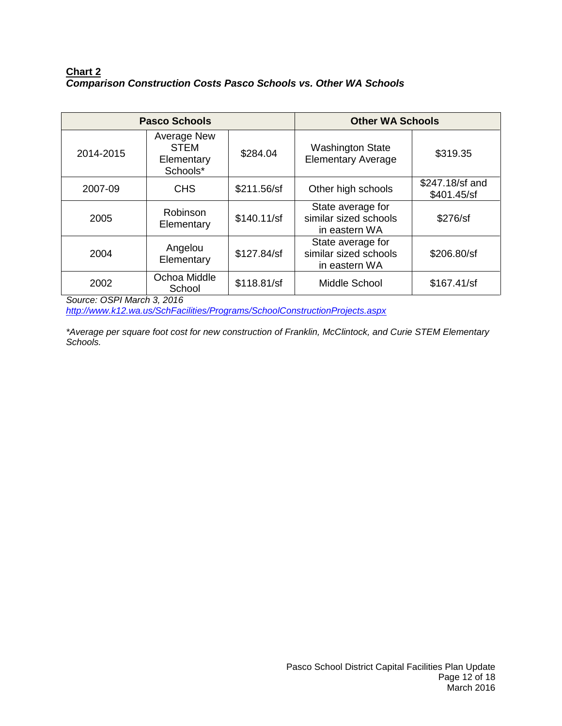# **Chart 2** *Comparison Construction Costs Pasco Schools vs. Other WA Schools*

|           | <b>Pasco Schools</b>                                        | <b>Other WA Schools</b> |                                                             |                                |
|-----------|-------------------------------------------------------------|-------------------------|-------------------------------------------------------------|--------------------------------|
| 2014-2015 | <b>Average New</b><br><b>STEM</b><br>Elementary<br>Schools* | \$284.04                | <b>Washington State</b><br><b>Elementary Average</b>        | \$319.35                       |
| 2007-09   | <b>CHS</b>                                                  | \$211.56/sf             | Other high schools                                          | \$247.18/sf and<br>\$401.45/sf |
| 2005      | Robinson<br>Elementary                                      | \$140.11/sf             | State average for<br>similar sized schools<br>in eastern WA | \$276/sf                       |
| 2004      | Angelou<br>Elementary                                       | \$127.84/sf             | State average for<br>similar sized schools<br>in eastern WA | \$206.80/sf                    |
| 2002      | Ochoa Middle<br>School                                      | \$118.81/sf             | Middle School                                               | \$167.41/sf                    |

*Source: OSPI March 3, 2016* 

*<http://www.k12.wa.us/SchFacilities/Programs/SchoolConstructionProjects.aspx>*

*\*Average per square foot cost for new construction of Franklin, McClintock, and Curie STEM Elementary Schools.*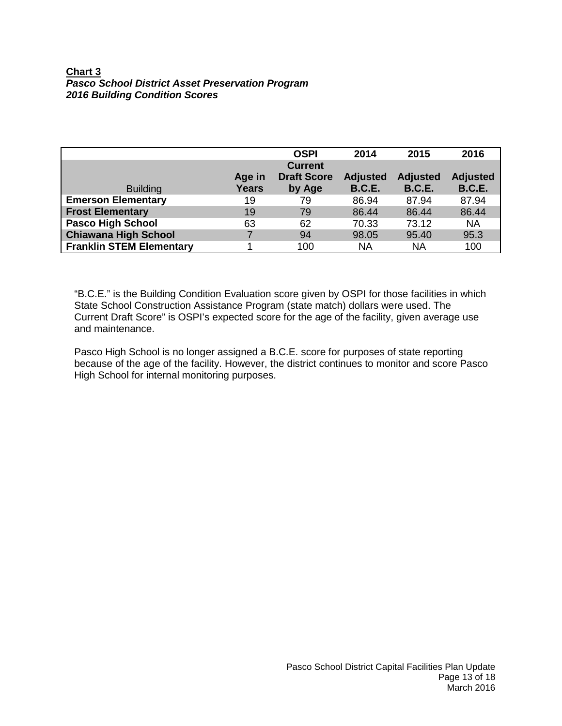# **Chart 3** *Pasco School District Asset Preservation Program 2016 Building Condition Scores*

|                                 |              | <b>OSPI</b>        | 2014            | 2015            | 2016            |
|---------------------------------|--------------|--------------------|-----------------|-----------------|-----------------|
|                                 |              | <b>Current</b>     |                 |                 |                 |
|                                 | Age in       | <b>Draft Score</b> | <b>Adjusted</b> | <b>Adjusted</b> | <b>Adjusted</b> |
| <b>Building</b>                 | <b>Years</b> | by Age             | <b>B.C.E.</b>   | <b>B.C.E.</b>   | <b>B.C.E.</b>   |
| <b>Emerson Elementary</b>       | 19           | 79                 | 86.94           | 87.94           | 87.94           |
| <b>Frost Elementary</b>         | 19           | 79                 | 86.44           | 86.44           | 86.44           |
| <b>Pasco High School</b>        | 63           | 62                 | 70.33           | 73.12           | <b>NA</b>       |
| <b>Chiawana High School</b>     |              | 94                 | 98.05           | 95.40           | 95.3            |
| <b>Franklin STEM Elementary</b> |              | 100                | ΝA              | <b>NA</b>       | 100             |

"B.C.E." is the Building Condition Evaluation score given by OSPI for those facilities in which State School Construction Assistance Program (state match) dollars were used. The Current Draft Score" is OSPI's expected score for the age of the facility, given average use and maintenance.

Pasco High School is no longer assigned a B.C.E. score for purposes of state reporting because of the age of the facility. However, the district continues to monitor and score Pasco High School for internal monitoring purposes.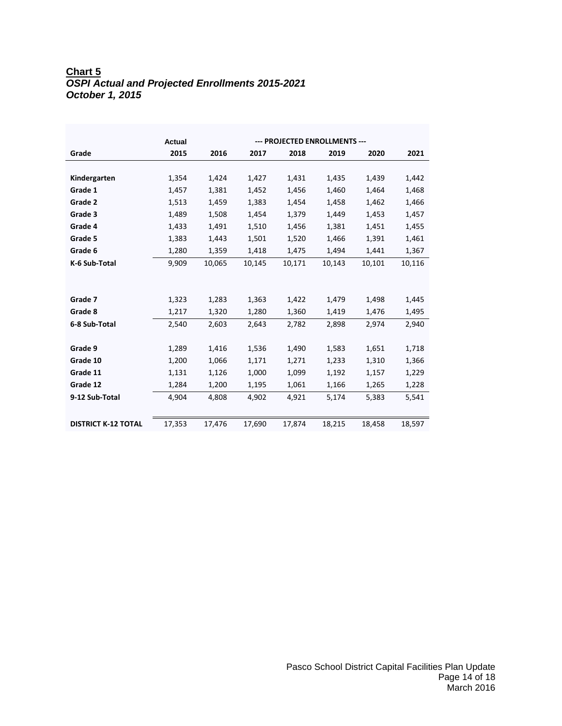# **Chart 5** *OSPI Actual and Projected Enrollments 2015-2021 October 1, 2015*

|                            | Actual |        |        | --- PROJECTED ENROLLMENTS --- |        |        |        |
|----------------------------|--------|--------|--------|-------------------------------|--------|--------|--------|
| Grade                      | 2015   | 2016   | 2017   | 2018                          | 2019   | 2020   | 2021   |
|                            |        |        |        |                               |        |        |        |
| Kindergarten               | 1,354  | 1,424  | 1,427  | 1,431                         | 1,435  | 1,439  | 1,442  |
| Grade 1                    | 1,457  | 1,381  | 1,452  | 1.456                         | 1,460  | 1,464  | 1,468  |
| Grade 2                    | 1,513  | 1,459  | 1,383  | 1,454                         | 1,458  | 1,462  | 1,466  |
| Grade 3                    | 1,489  | 1,508  | 1,454  | 1,379                         | 1,449  | 1,453  | 1,457  |
| Grade 4                    | 1,433  | 1,491  | 1,510  | 1,456                         | 1,381  | 1,451  | 1,455  |
| Grade 5                    | 1,383  | 1,443  | 1,501  | 1,520                         | 1,466  | 1,391  | 1,461  |
| Grade 6                    | 1,280  | 1,359  | 1,418  | 1,475                         | 1,494  | 1,441  | 1,367  |
| K-6 Sub-Total              | 9,909  | 10,065 | 10,145 | 10,171                        | 10,143 | 10,101 | 10,116 |
|                            |        |        |        |                               |        |        |        |
| Grade 7                    | 1,323  | 1,283  | 1,363  | 1,422                         | 1,479  | 1,498  | 1,445  |
| Grade 8                    | 1,217  | 1,320  | 1,280  | 1,360                         | 1,419  | 1,476  | 1,495  |
| 6-8 Sub-Total              | 2,540  | 2,603  | 2,643  | 2,782                         | 2,898  | 2,974  | 2,940  |
|                            |        |        |        |                               |        |        |        |
| Grade 9                    | 1,289  | 1,416  | 1,536  | 1,490                         | 1,583  | 1,651  | 1,718  |
| Grade 10                   | 1,200  | 1,066  | 1,171  | 1,271                         | 1,233  | 1,310  | 1,366  |
| Grade 11                   | 1,131  | 1,126  | 1,000  | 1,099                         | 1,192  | 1,157  | 1,229  |
| Grade 12                   | 1,284  | 1,200  | 1,195  | 1,061                         | 1,166  | 1,265  | 1,228  |
| 9-12 Sub-Total             | 4,904  | 4,808  | 4,902  | 4,921                         | 5,174  | 5,383  | 5,541  |
|                            |        |        |        |                               |        |        |        |
| <b>DISTRICT K-12 TOTAL</b> | 17,353 | 17,476 | 17.690 | 17.874                        | 18,215 | 18.458 | 18,597 |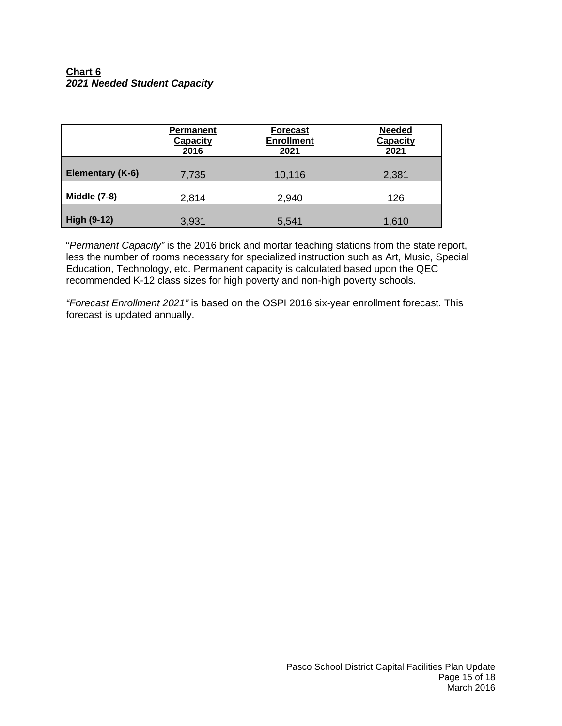# **Chart 6** *2021 Needed Student Capacity*

|                     | <b>Permanent</b><br>Capacity<br>2016 | <b>Forecast</b><br><b>Enrollment</b><br>2021 | <b>Needed</b><br>Capacity<br>2021 |
|---------------------|--------------------------------------|----------------------------------------------|-----------------------------------|
| Elementary (K-6)    | 7,735                                | 10,116                                       | 2,381                             |
| <b>Middle (7-8)</b> | 2,814                                | 2,940                                        | 126                               |
| <b>High (9-12)</b>  | 3,931                                | 5,541                                        | 1,610                             |

"*Permanent Capacity"* is the 2016 brick and mortar teaching stations from the state report, less the number of rooms necessary for specialized instruction such as Art, Music, Special Education, Technology, etc. Permanent capacity is calculated based upon the QEC recommended K-12 class sizes for high poverty and non-high poverty schools.

*"Forecast Enrollment 2021"* is based on the OSPI 2016 six-year enrollment forecast. This forecast is updated annually.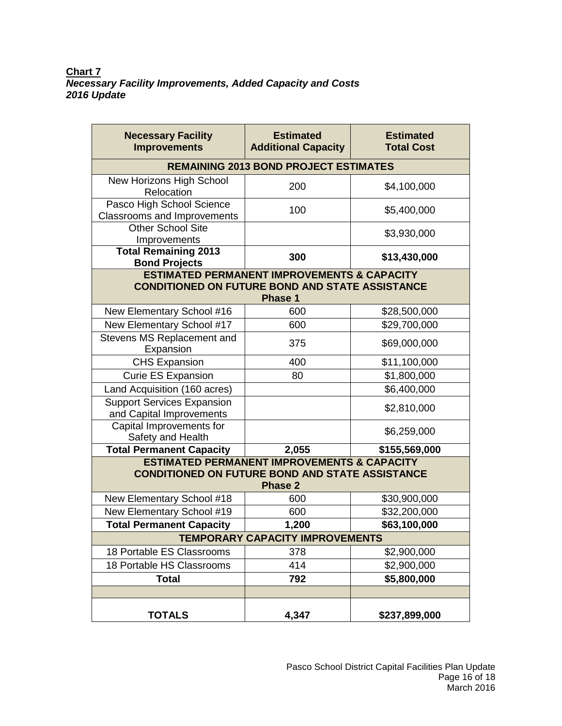| <b>Necessary Facility</b><br><b>Improvements</b>                | <b>Estimated</b><br><b>Additional Capacity</b>         | <b>Estimated</b><br><b>Total Cost</b> |
|-----------------------------------------------------------------|--------------------------------------------------------|---------------------------------------|
|                                                                 | <b>REMAINING 2013 BOND PROJECT ESTIMATES</b>           |                                       |
| New Horizons High School<br>Relocation                          | 200                                                    | \$4,100,000                           |
| Pasco High School Science<br><b>Classrooms and Improvements</b> | 100                                                    | \$5,400,000                           |
| <b>Other School Site</b><br>Improvements                        |                                                        | \$3,930,000                           |
| <b>Total Remaining 2013</b><br><b>Bond Projects</b>             | 300                                                    | \$13,430,000                          |
| <b>CONDITIONED ON FUTURE BOND AND STATE ASSISTANCE</b>          | <b>ESTIMATED PERMANENT IMPROVEMENTS &amp; CAPACITY</b> |                                       |
|                                                                 | <b>Phase 1</b>                                         |                                       |
| New Elementary School #16                                       | 600                                                    | \$28,500,000                          |
| New Elementary School #17                                       | 600                                                    | \$29,700,000                          |
| Stevens MS Replacement and<br>Expansion                         | 375                                                    | \$69,000,000                          |
| <b>CHS Expansion</b>                                            | 400                                                    | \$11,100,000                          |
| <b>Curie ES Expansion</b>                                       | 80                                                     | \$1,800,000                           |
| Land Acquisition (160 acres)                                    |                                                        | \$6,400,000                           |
| <b>Support Services Expansion</b><br>and Capital Improvements   |                                                        | \$2,810,000                           |
| Capital Improvements for<br>Safety and Health                   |                                                        | \$6,259,000                           |
| <b>Total Permanent Capacity</b>                                 | 2,055                                                  | \$155,569,000                         |
| <b>CONDITIONED ON FUTURE BOND AND STATE ASSISTANCE</b>          | <b>ESTIMATED PERMANENT IMPROVEMENTS &amp; CAPACITY</b> |                                       |
|                                                                 | <b>Phase 2</b>                                         |                                       |
| New Elementary School #18                                       | 600                                                    | \$30,900,000                          |
| New Elementary School #19                                       | 600                                                    | \$32,200,000                          |
| <b>Total Permanent Capacity</b>                                 | 1,200                                                  | \$63,100,000                          |
|                                                                 | TEMPORARY CAPACITY IMPROVEMENTS                        |                                       |
| 18 Portable ES Classrooms                                       | 378                                                    | \$2,900,000                           |
| 18 Portable HS Classrooms                                       | 414                                                    | \$2,900,000                           |
| <b>Total</b>                                                    | 792                                                    | \$5,800,000                           |
|                                                                 |                                                        |                                       |
| <b>TOTALS</b>                                                   | 4,347                                                  | \$237,899,000                         |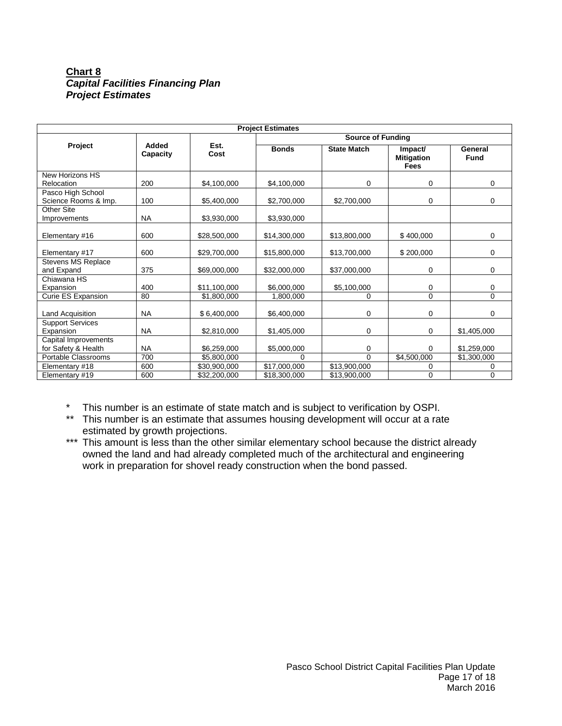# **Chart 8** *Capital Facilities Financing Plan Project Estimates*

| <b>Project Estimates</b>                    |                   |              |              |                    |                                             |                        |  |
|---------------------------------------------|-------------------|--------------|--------------|--------------------|---------------------------------------------|------------------------|--|
|                                             |                   |              |              |                    | <b>Source of Funding</b>                    |                        |  |
| Project                                     | Added<br>Capacity | Est.<br>Cost | <b>Bonds</b> | <b>State Match</b> | Impact/<br><b>Mitigation</b><br><b>Fees</b> | General<br><b>Fund</b> |  |
| New Horizons HS<br>Relocation               | 200               | \$4,100,000  | \$4,100,000  | 0                  | 0                                           | 0                      |  |
| Pasco High School<br>Science Rooms & Imp.   | 100               | \$5,400,000  | \$2,700,000  | \$2,700,000        | 0                                           | $\Omega$               |  |
| Other Site<br>Improvements                  | <b>NA</b>         | \$3,930,000  | \$3,930,000  |                    |                                             |                        |  |
| Elementary #16                              | 600               | \$28,500,000 | \$14,300,000 | \$13,800,000       | \$400,000                                   | 0                      |  |
| Elementary #17                              | 600               | \$29,700,000 | \$15,800,000 | \$13,700,000       | \$200,000                                   | 0                      |  |
| <b>Stevens MS Replace</b><br>and Expand     | 375               | \$69,000,000 | \$32,000,000 | \$37,000,000       | 0                                           | 0                      |  |
| Chiawana HS<br>Expansion                    | 400               | \$11,100,000 | \$6,000,000  | \$5,100,000        | 0                                           | 0                      |  |
| Curie ES Expansion                          | 80                | \$1,800,000  | 1,800,000    | 0                  | $\Omega$                                    | $\Omega$               |  |
| Land Acquisition                            | <b>NA</b>         | \$6,400,000  | \$6,400,000  | 0                  | 0                                           | 0                      |  |
| <b>Support Services</b><br>Expansion        | <b>NA</b>         | \$2,810,000  | \$1,405,000  | 0                  | $\mathbf 0$                                 | \$1,405,000            |  |
| Capital Improvements<br>for Safety & Health | <b>NA</b>         | \$6,259,000  | \$5,000,000  | 0                  | 0                                           | \$1,259,000            |  |
| Portable Classrooms                         | 700               | \$5,800,000  | $\Omega$     | $\Omega$           | \$4,500,000                                 | \$1,300,000            |  |
| Elementary #18                              | 600               | \$30,900,000 | \$17,000,000 | \$13,900,000       | 0                                           | 0                      |  |
| Elementary #19                              | 600               | \$32,200,000 | \$18,300,000 | \$13,900,000       | $\mathbf 0$                                 | 0                      |  |

- \* This number is an estimate of state match and is subject to verification by OSPI.
- \*\* This number is an estimate that assumes housing development will occur at a rate estimated by growth projections.
- **ESUTTATED By SECTION IS A THEORY OF STATE STATES.**<br>\*\*\* This amount is less than the other similar elementary school because the district already owned the land and had already completed much of the architectural and engineering work in preparation for shovel ready construction when the bond passed.